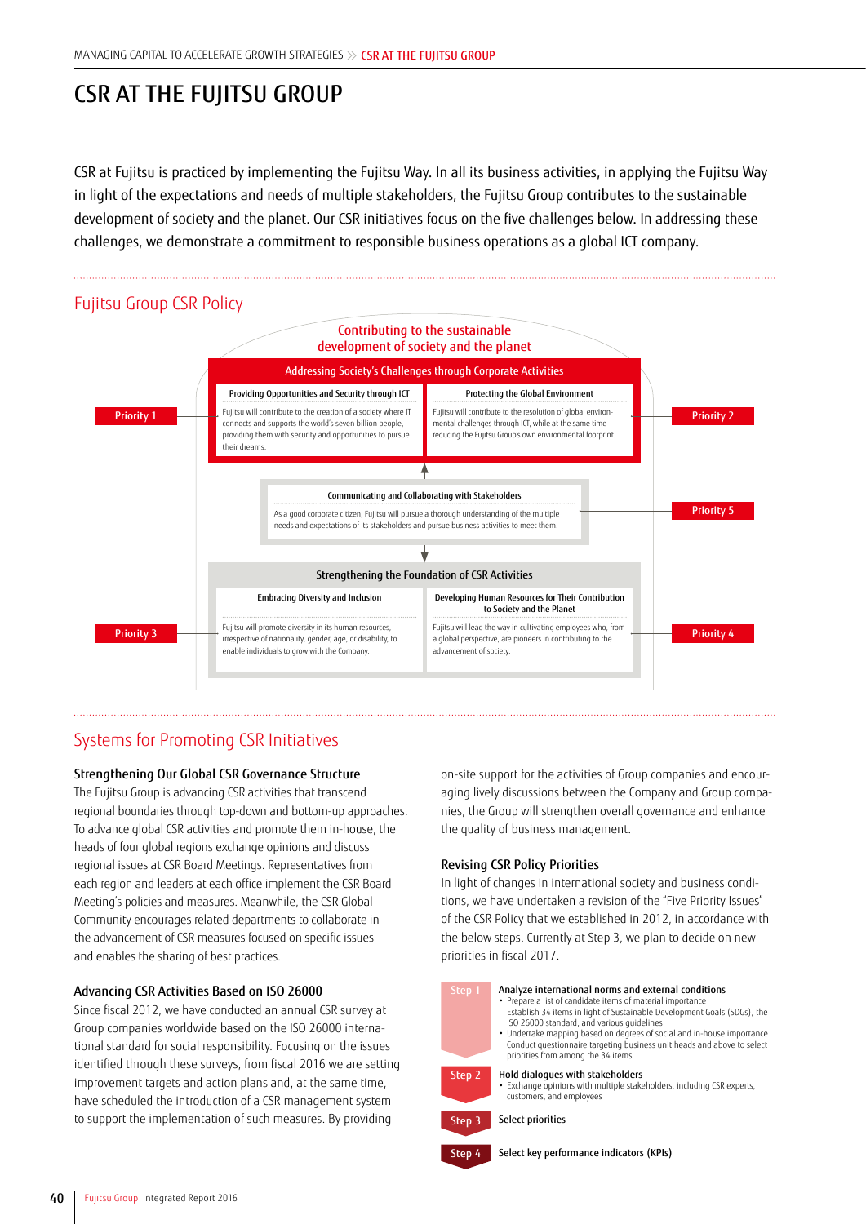# CSR AT THE FUJITSU GROUP

CSR at Fujitsu is practiced by implementing the Fujitsu Way. In all its business activities, in applying the Fujitsu Way in light of the expectations and needs of multiple stakeholders, the Fujitsu Group contributes to the sustainable development of society and the planet. Our CSR initiatives focus on the five challenges below. In addressing these challenges, we demonstrate a commitment to responsible business operations as a global ICT company.



## Systems for Promoting CSR Initiatives

#### Strengthening Our Global CSR Governance Structure

The Fujitsu Group is advancing CSR activities that transcend regional boundaries through top-down and bottom-up approaches. To advance global CSR activities and promote them in-house, the heads of four global regions exchange opinions and discuss regional issues at CSR Board Meetings. Representatives from each region and leaders at each office implement the CSR Board Meeting's policies and measures. Meanwhile, the CSR Global Community encourages related departments to collaborate in the advancement of CSR measures focused on specific issues and enables the sharing of best practices.

#### Advancing CSR Activities Based on ISO 26000

Since fiscal 2012, we have conducted an annual CSR survey at Group companies worldwide based on the ISO 26000 international standard for social responsibility. Focusing on the issues identified through these surveys, from fiscal 2016 we are setting improvement targets and action plans and, at the same time, have scheduled the introduction of a CSR management system to support the implementation of such measures. By providing

on-site support for the activities of Group companies and encouraging lively discussions between the Company and Group companies, the Group will strengthen overall governance and enhance the quality of business management.

#### Revising CSR Policy Priorities

In light of changes in international society and business conditions, we have undertaken a revision of the "Five Priority Issues" of the CSR Policy that we established in 2012, in accordance with the below steps. Currently at Step 3, we plan to decide on new priorities in fiscal 2017.